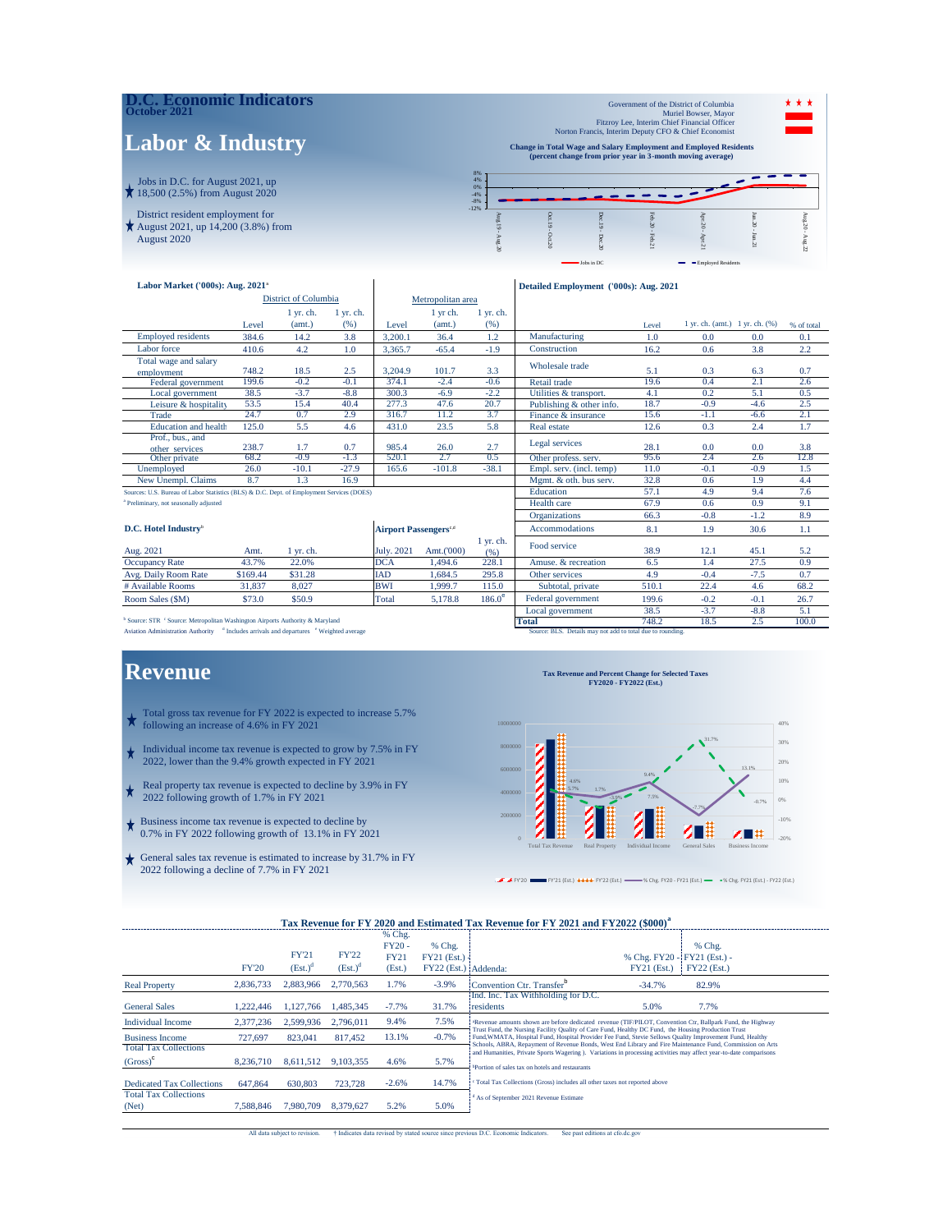| <b>D.C. Economic Indicators</b><br>October 2021                                       |                                  |                                                                                                                                                                                                |  |  | Government of the District of Columbia<br>Fitzroy Lee, Interim Chief Financial Officer | Muriel Bowser, Mayor |  | * * * |
|---------------------------------------------------------------------------------------|----------------------------------|------------------------------------------------------------------------------------------------------------------------------------------------------------------------------------------------|--|--|----------------------------------------------------------------------------------------|----------------------|--|-------|
| <b>Labor &amp; Industry</b>                                                           |                                  | Norton Francis, Interim Deputy CFO & Chief Economist<br><b>Change in Total Wage and Salary Employment and Employed Residents</b><br>(percent change from prior year in 3-month moving average) |  |  |                                                                                        |                      |  |       |
| Jobs in D.C. for August 2021, up<br>$\star$ 18,500 (2.5%) from August 2020            | 8%<br>4%<br>0%<br>$-4%$<br>$-8%$ |                                                                                                                                                                                                |  |  |                                                                                        |                      |  |       |
| District resident employment for<br>August 2021, up 14,200 (3.8%) from<br>August 2020 | $-12%$                           |                                                                                                                                                                                                |  |  |                                                                                        |                      |  |       |

 $\mathbf{I}$ 

| Labor Market ('000s): Aug. 2021 <sup>®</sup>                                              |          |                             |             |                                          |                   | Detailed Employment ('000s): Aug. 2021 |                          |       |                                |        |            |
|-------------------------------------------------------------------------------------------|----------|-----------------------------|-------------|------------------------------------------|-------------------|----------------------------------------|--------------------------|-------|--------------------------------|--------|------------|
|                                                                                           |          | <b>District of Columbia</b> |             |                                          | Metropolitan area |                                        |                          |       |                                |        |            |
|                                                                                           |          | $1$ yr. ch.                 | $1$ yr. ch. |                                          | 1 yr ch.          | $1$ yr. ch.                            |                          |       |                                |        |            |
|                                                                                           | Level    | (amt.)                      | (% )        | Level                                    | (amt.)            | (96)                                   |                          | Level | 1 yr. ch. (amt.) 1 yr. ch. (%) |        | % of total |
| <b>Employed residents</b>                                                                 | 384.6    | 14.2                        | 3.8         | 3,200.1                                  | 36.4              | 1.2                                    | Manufacturing            | 1.0   | 0.0                            | 0.0    | 0.1        |
| Labor force                                                                               | 410.6    | 4.2                         | 1.0         | 3.365.7                                  | $-65.4$           | $-1.9$                                 | Construction             | 16.2  | 0.6                            | 3.8    | 2.2        |
| Total wage and salary                                                                     |          |                             |             |                                          |                   |                                        | Wholesale trade          |       |                                |        |            |
| employment                                                                                | 748.2    | 18.5                        | 2.5         | 3.204.9                                  | 101.7             | 3.3                                    |                          | 5.1   | 0.3                            | 6.3    | 0.7        |
| Federal government                                                                        | 199.6    | $-0.2$                      | $-0.1$      | 374.1                                    | $-2.4$            | $-0.6$                                 | Retail trade             | 19.6  | 0.4                            | 2.1    | 2.6        |
| Local government                                                                          | 38.5     | $-3.7$                      | $-8.8$      | 300.3                                    | $-6.9$            | $-2.2$                                 | Utilities & transport.   | 4.1   | 0.2                            | 5.1    | 0.5        |
| Leisure & hospitality                                                                     | 53.5     | 15.4                        | 40.4        | 277.3                                    | 47.6              | 20.7                                   | Publishing & other info. | 18.7  | $-0.9$                         | $-4.6$ | 2.5        |
| Trade                                                                                     | 24.7     | 0.7                         | 2.9         | 316.7                                    | 11.2              | 3.7                                    | Finance & insurance      | 15.6  | $-1.1$                         | $-6.6$ | 2.1        |
| <b>Education</b> and health                                                               | 125.0    | 5.5                         | 4.6         | 431.0                                    | 23.5              | 5.8                                    | <b>Real estate</b>       | 12.6  | 0.3                            | 2.4    | 1.7        |
| Prof., bus., and<br>other services                                                        | 238.7    | 1.7                         | 0.7         | 985.4                                    | 26.0              | 2.7                                    | Legal services           | 28.1  | 0.0                            | 0.0    | 3.8        |
| Other private                                                                             | 68.2     | $-0.9$                      | $-1.3$      | 520.1                                    | 2.7               | 0.5                                    | Other profess, serv.     | 95.6  | 2.4                            | 2.6    | 12.8       |
| Unemployed                                                                                | 26.0     | $-10.1$                     | $-27.9$     | 165.6                                    | $-101.8$          | $-38.1$                                | Empl. serv. (incl. temp) | 11.0  | $-0.1$                         | $-0.9$ | 1.5        |
| New Unempl. Claims                                                                        | 8.7      | 1.3                         | 16.9        |                                          |                   |                                        | Mgmt. & oth. bus serv.   | 32.8  | 0.6                            | 1.9    | 4.4        |
| Sources: U.S. Bureau of Labor Statistics (BLS) & D.C. Dept. of Employment Services (DOES) |          |                             |             |                                          |                   |                                        | Education                | 57.1  | 4.9                            | 9.4    | 7.6        |
| <sup>a</sup> Preliminary, not seasonally adjusted                                         |          |                             |             |                                          |                   |                                        | Health care              | 67.9  | 0.6                            | 0.9    | 9.1        |
|                                                                                           |          |                             |             |                                          |                   |                                        | Organizations            | 66.3  | $-0.8$                         | $-1.2$ | 8.9        |
| D.C. Hotel Industry <sup>b</sup>                                                          |          |                             |             | <b>Airport Passengers</b> <sup>c,d</sup> |                   |                                        | <b>Accommodations</b>    | 8.1   | 1.9                            | 30.6   | 1.1        |
| Aug. 2021                                                                                 | Amt.     | $1$ yr. ch.                 |             | <b>July. 2021</b>                        | Amt.('000)        | $1$ yr. ch.<br>(% )                    | Food service             | 38.9  | 12.1                           | 45.1   | 5.2        |
| <b>Occupancy Rate</b>                                                                     | 43.7%    | 22.0%                       |             | <b>DCA</b>                               | 1.494.6           | 228.1                                  | Amuse, & recreation      | 6.5   | 1.4                            | 27.5   | 0.9        |
| Avg. Daily Room Rate                                                                      | \$169.44 | \$31.28                     |             | <b>IAD</b>                               | 1.684.5           | 295.8                                  | Other services           | 4.9   | $-0.4$                         | $-7.5$ | 0.7        |
| # Available Rooms                                                                         | 31.837   | 8,027                       |             | <b>BWI</b>                               | 1.999.7           | 115.0                                  | Subtotal, private        | 510.1 | 22.4                           | 4.6    | 68.2       |
| Room Sales (\$M)                                                                          | \$73.0   | \$50.9                      |             | Total                                    | 5,178.8           | $186.0^{\circ}$                        | Federal government       | 199.6 | $-0.2$                         | $-0.1$ | 26.7       |
|                                                                                           |          |                             |             |                                          |                   |                                        | Local government         | 38.5  | $-3.7$                         | $-8.8$ | 5.1        |
| Source: STR <sup>c</sup> Source: Metropolitan Washington Airports Authority & Maryland    |          |                             |             |                                          |                   |                                        | <b>Total</b>             | 748.2 | 18.5                           | 2.5    | 100.0      |

Source: STR Source: Metropolitan Washington Airports Authority & Maryland<br>
Aviation Administration Authority <sup>4</sup> Includes arrivals and departures <sup>6</sup> Weighted average Number 2008 Cource: BLS. Details may not add to total d

### **Revenue**

- Total gross tax revenue for FY 2022 is expected to increase 5.7% following an increase of 4.6% in FY 2021
- Individual income tax revenue is expected to grow by 7.5% in FY 2022, lower than the 9.4% growth expected in FY 2021
- $\star$ Real property tax revenue is expected to decline by 3.9% in FY 2022 following growth of 1.7% in FY 2021
- Business income tax revenue is expected to decline by 0.7% in FY 2022 following growth of 13.1% in FY 2021
- General sales tax revenue is estimated to increase by 31.7% in FY 2022 following a decline of 7.7% in FY 2021

**Tax Revenue and Percent Change for Selected Taxes FY2020 - FY2022 (Est.)**



■ Jobs in DC **Employed Residents** 

FY'20 FY'21 (Est.) FY'22 (Est.) % Chg. FY20 - FY21 (Est.) % Chg. FY21 (Est.) - FY22 (Est.)

#### **Tax Revenue for FY 2020 and Estimated Tax Revenue for FY 2021 and FY2022 (\$000)<sup>a</sup>**

|                                  |              |              |              | % Chg.      |                      |                                                                                                                                                                                                                                |
|----------------------------------|--------------|--------------|--------------|-------------|----------------------|--------------------------------------------------------------------------------------------------------------------------------------------------------------------------------------------------------------------------------|
|                                  |              |              |              | $FY20 -$    | % Chg.               | % Chg.                                                                                                                                                                                                                         |
|                                  |              | <b>FY'21</b> | <b>FY'22</b> | <b>FY21</b> | $FY21$ (Est.) -      | % Chg. FY20 - FY21 (Est.) -                                                                                                                                                                                                    |
|                                  | <b>FY'20</b> | $(Est.)^c$   | $(Est.)^d$   | (Est.)      | FY22 (Est.) Addenda: | <b>FY22 (Est.)</b><br>$FY21$ (Est.)                                                                                                                                                                                            |
| <b>Real Property</b>             | 2,836,733    | 2.883.966    | 2.770.563    | 1.7%        | $-3.9%$              | Convention Ctr. Transfer <sup>b</sup><br>$-34.7%$<br>82.9%                                                                                                                                                                     |
|                                  |              |              |              |             |                      | Ind. Inc. Tax Withholding for D.C.                                                                                                                                                                                             |
| <b>General Sales</b>             | 1.222.446    | 1.127.766    | 1.485.345    | $-7.7%$     | 31.7%                | 7.7%<br>residents<br>5.0%                                                                                                                                                                                                      |
| Individual Income                | 2.377.236    | 2.599.936    | 2.796.011    | 9.4%        | 7.5%                 | <sup>a</sup> Revenue amounts shown are before dedicated revenue (TIF/PILOT, Convention Ctr, Ballpark Fund, the Highway<br>Trust Fund, the Nursing Facility Quality of Care Fund, Healthy DC Fund, the Housing Production Trust |
| <b>Business Income</b>           | 727.697      | 823.041      | 817.452      | 13.1%       | $-0.7%$              | Fund, WMATA, Hospital Fund, Hospital Provider Fee Fund, Stevie Sellows Quality Improvement Fund, Healthy<br>Schools, ABRA, Repayment of Revenue Bonds, West End Library and Fire Maintenance Fund, Commission on Arts          |
| <b>Total Tax Collections</b>     |              |              |              |             |                      | and Humanities, Private Sports Wagering ). Variations in processing activities may affect year-to-date comparisons                                                                                                             |
| $(Gross)^c$                      | 8.236.710    | 8.611.512    | 9.103.355    | 4.6%        | 5.7%                 | <sup>b</sup> Portion of sales tax on hotels and restaurants                                                                                                                                                                    |
| <b>Dedicated Tax Collections</b> | 647,864      | 630,803      | 723,728      | $-2.6%$     | 14.7%                | <sup>c</sup> Total Tax Collections (Gross) includes all other taxes not reported above                                                                                                                                         |
| <b>Total Tax Collections</b>     |              |              |              |             |                      | <sup>d</sup> As of September 2021 Revenue Estimate                                                                                                                                                                             |
| (Net)                            | 7.588.846    | 7.980.709    | 8.379.627    | 5.2%        | 5.0%                 |                                                                                                                                                                                                                                |
|                                  |              |              |              |             |                      |                                                                                                                                                                                                                                |

bject to revision.  $\dagger$  Indicates data revised by stated source since previous D.C. Economic Indicators. See past editions at cfo.dc.gov